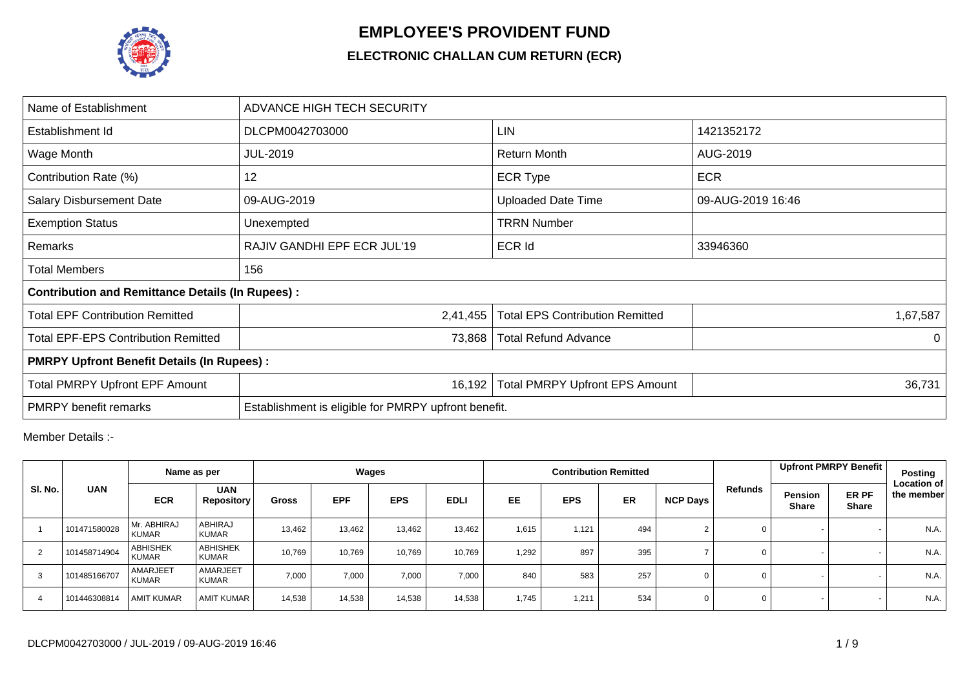

## **EMPLOYEE'S PROVIDENT FUND**

## **ELECTRONIC CHALLAN CUM RETURN (ECR)**

| Name of Establishment                                   | ADVANCE HIGH TECH SECURITY                           |                                        |                   |
|---------------------------------------------------------|------------------------------------------------------|----------------------------------------|-------------------|
| Establishment Id                                        | DLCPM0042703000                                      | LIN                                    | 1421352172        |
| Wage Month                                              | <b>JUL-2019</b>                                      | <b>Return Month</b>                    | AUG-2019          |
| Contribution Rate (%)                                   | 12                                                   | <b>ECR Type</b>                        | <b>ECR</b>        |
| <b>Salary Disbursement Date</b>                         | 09-AUG-2019                                          | <b>Uploaded Date Time</b>              | 09-AUG-2019 16:46 |
| <b>Exemption Status</b>                                 | Unexempted                                           | <b>TRRN Number</b>                     |                   |
| Remarks                                                 | RAJIV GANDHI EPF ECR JUL'19                          | <b>ECR Id</b>                          | 33946360          |
| <b>Total Members</b>                                    | 156                                                  |                                        |                   |
| <b>Contribution and Remittance Details (In Rupees):</b> |                                                      |                                        |                   |
| <b>Total EPF Contribution Remitted</b>                  | 2,41,455                                             | <b>Total EPS Contribution Remitted</b> | 1,67,587          |
| <b>Total EPF-EPS Contribution Remitted</b>              | 73,868                                               | <b>Total Refund Advance</b>            | $\Omega$          |
| <b>PMRPY Upfront Benefit Details (In Rupees):</b>       |                                                      |                                        |                   |
| <b>Total PMRPY Upfront EPF Amount</b>                   | 16,192                                               | <b>Total PMRPY Upfront EPS Amount</b>  | 36,731            |
| <b>PMRPY</b> benefit remarks                            | Establishment is eligible for PMRPY upfront benefit. |                                        |                   |

Member Details :-

|         |              |                                 | Name as per                     | Wages        |            |            |             |           |            | <b>Contribution Remitted</b> |                 |         | <b>Upfront PMRPY Benefit</b>                                   | Posting<br><b>Location of</b> |
|---------|--------------|---------------------------------|---------------------------------|--------------|------------|------------|-------------|-----------|------------|------------------------------|-----------------|---------|----------------------------------------------------------------|-------------------------------|
| SI. No. | <b>UAN</b>   | <b>ECR</b>                      | <b>UAN</b><br><b>Repository</b> | <b>Gross</b> | <b>EPF</b> | <b>EPS</b> | <b>EDLI</b> | <b>EE</b> | <b>EPS</b> | <b>ER</b>                    | <b>NCP Days</b> | Refunds | <b>ER PF</b><br><b>Pension</b><br><b>Share</b><br><b>Share</b> | the member                    |
|         | 101471580028 | Mr. ABHIRAJ<br><b>KUMAR</b>     | <b>ABHIRAJ</b><br><b>KUMAR</b>  | 13,462       | 13,462     | 13,462     | 13,462      | 1,615     | 1,121      | 494                          |                 | 0       |                                                                | N.A.                          |
| 2       | 101458714904 | <b>ABHISHEK</b><br><b>KUMAR</b> | <b>ABHISHEK</b><br><b>KUMAR</b> | 10,769       | 10,769     | 10,769     | 10,769      | 1,292     | 897        | 395                          |                 | 0       |                                                                | N.A.                          |
| 3       | 101485166707 | AMARJEET<br><b>KUMAR</b>        | AMARJEET<br><b>KUMAR</b>        | 7,000        | 7,000      | 7,000      | 7,000       | 840       | 583        | 257                          |                 | 0       |                                                                | N.A.                          |
| 4       | 101446308814 | <b>AMIT KUMAR</b>               | <b>AMIT KUMAR</b>               | 14,538       | 14,538     | 14,538     | 14,538      | 1,745     | 1,211      | 534                          |                 | 0       |                                                                | N.A.                          |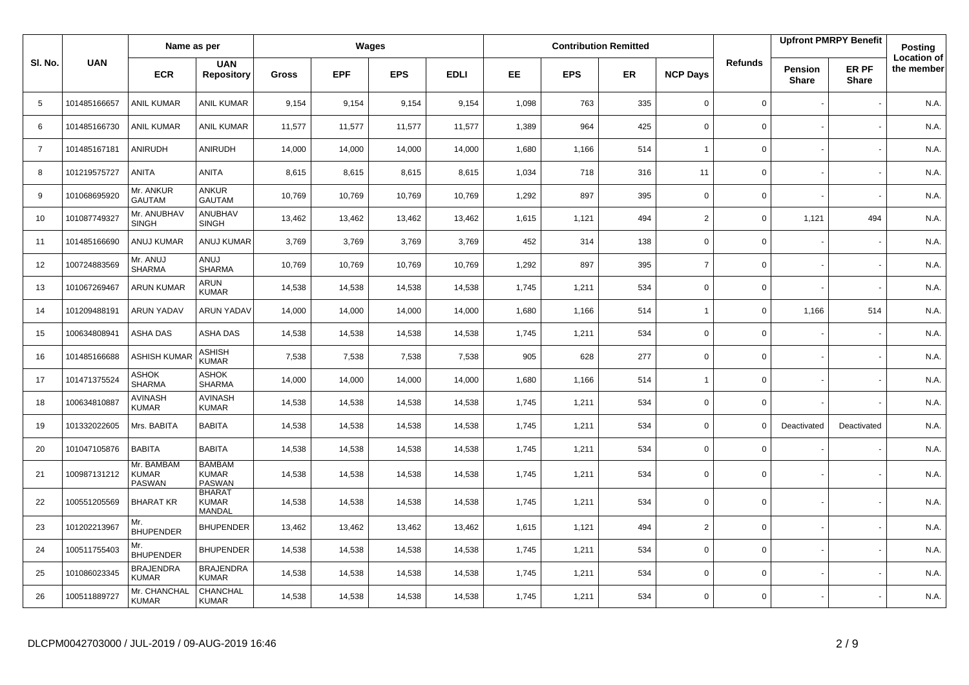|                |              | Name as per                                 |                                                |        |            | Wages      |             |           |            | <b>Contribution Remitted</b> |                 |                |                                | <b>Upfront PMRPY Benefit</b> | <b>Posting</b>                   |
|----------------|--------------|---------------------------------------------|------------------------------------------------|--------|------------|------------|-------------|-----------|------------|------------------------------|-----------------|----------------|--------------------------------|------------------------------|----------------------------------|
| SI. No.        | <b>UAN</b>   | <b>ECR</b>                                  | <b>UAN</b><br><b>Repository</b>                | Gross  | <b>EPF</b> | <b>EPS</b> | <b>EDLI</b> | <b>EE</b> | <b>EPS</b> | <b>ER</b>                    | <b>NCP Days</b> | <b>Refunds</b> | <b>Pension</b><br><b>Share</b> | ER PF<br><b>Share</b>        | <b>Location of</b><br>the member |
| 5              | 101485166657 | <b>ANIL KUMAR</b>                           | ANIL KUMAR                                     | 9,154  | 9,154      | 9,154      | 9,154       | 1,098     | 763        | 335                          | $\mathbf 0$     | $\mathbf 0$    |                                |                              | N.A.                             |
| 6              | 101485166730 | <b>ANIL KUMAR</b>                           | <b>ANIL KUMAR</b>                              | 11,577 | 11,577     | 11,577     | 11,577      | 1,389     | 964        | 425                          | $\mathbf 0$     | 0              |                                |                              | N.A.                             |
| $\overline{7}$ | 101485167181 | ANIRUDH                                     | ANIRUDH                                        | 14,000 | 14,000     | 14,000     | 14,000      | 1,680     | 1,166      | 514                          | $\overline{1}$  | 0              |                                |                              | N.A.                             |
| 8              | 101219575727 | ANITA                                       | ANITA                                          | 8,615  | 8,615      | 8,615      | 8,615       | 1,034     | 718        | 316                          | 11              | 0              |                                |                              | N.A.                             |
| 9              | 101068695920 | Mr. ANKUR<br><b>GAUTAM</b>                  | ANKUR<br><b>GAUTAM</b>                         | 10,769 | 10,769     | 10,769     | 10,769      | 1,292     | 897        | 395                          | $\mathbf 0$     | 0              |                                |                              | N.A.                             |
| 10             | 101087749327 | Mr. ANUBHAV<br><b>SINGH</b>                 | ANUBHAV<br><b>SINGH</b>                        | 13,462 | 13,462     | 13,462     | 13,462      | 1,615     | 1,121      | 494                          | $\overline{2}$  | 0              | 1,121                          | 494                          | N.A.                             |
| 11             | 101485166690 | <b>ANUJ KUMAR</b>                           | ANUJ KUMAR                                     | 3,769  | 3,769      | 3,769      | 3,769       | 452       | 314        | 138                          | $\mathbf 0$     | 0              |                                |                              | N.A.                             |
| 12             | 100724883569 | Mr. ANUJ<br><b>SHARMA</b>                   | ANUJ<br><b>SHARMA</b>                          | 10,769 | 10,769     | 10.769     | 10,769      | 1,292     | 897        | 395                          | $\overline{7}$  | 0              |                                |                              | N.A.                             |
| 13             | 101067269467 | <b>ARUN KUMAR</b>                           | ARUN<br><b>KUMAR</b>                           | 14,538 | 14,538     | 14,538     | 14,538      | 1,745     | 1,211      | 534                          | $\mathbf 0$     | 0              |                                |                              | N.A.                             |
| 14             | 101209488191 | <b>ARUN YADAV</b>                           | <b>ARUN YADAV</b>                              | 14,000 | 14,000     | 14,000     | 14,000      | 1,680     | 1.166      | 514                          | $\overline{1}$  | 0              | 1,166                          | 514                          | N.A.                             |
| 15             | 100634808941 | ASHA DAS                                    | ASHA DAS                                       | 14,538 | 14,538     | 14,538     | 14,538      | 1,745     | 1,211      | 534                          | $\mathsf 0$     | 0              |                                |                              | N.A.                             |
| 16             | 101485166688 | <b>ASHISH KUMAR</b>                         | ASHISH<br><b>KUMAR</b>                         | 7,538  | 7,538      | 7,538      | 7,538       | 905       | 628        | 277                          | $\mathbf 0$     | 0              |                                |                              | N.A.                             |
| 17             | 101471375524 | ASHOK<br><b>SHARMA</b>                      | ASHOK<br><b>SHARMA</b>                         | 14,000 | 14,000     | 14,000     | 14,000      | 1,680     | 1,166      | 514                          | $\overline{1}$  | 0              |                                |                              | N.A.                             |
| 18             | 100634810887 | <b>AVINASH</b><br><b>KUMAR</b>              | <b>AVINASH</b><br><b>KUMAR</b>                 | 14,538 | 14,538     | 14,538     | 14,538      | 1,745     | 1,211      | 534                          | $\mathbf 0$     | $\mathbf{0}$   |                                |                              | N.A.                             |
| 19             | 101332022605 | Mrs. BABITA                                 | <b>BABITA</b>                                  | 14,538 | 14,538     | 14,538     | 14,538      | 1,745     | 1,211      | 534                          | $\mathbf 0$     | 0              | Deactivated                    | Deactivated                  | N.A.                             |
| 20             | 101047105876 | <b>BABITA</b>                               | <b>BABITA</b>                                  | 14,538 | 14,538     | 14,538     | 14,538      | 1,745     | 1,211      | 534                          | $\mathbf 0$     | $\mathbf{0}$   |                                |                              | N.A.                             |
| 21             | 100987131212 | Mr. BAMBAM<br><b>KUMAR</b><br><b>PASWAN</b> | <b>BAMBAM</b><br><b>KUMAR</b><br><b>PASWAN</b> | 14,538 | 14,538     | 14,538     | 14,538      | 1,745     | 1,211      | 534                          | $\mathbf 0$     | $\mathbf 0$    |                                |                              | N.A.                             |
| 22             | 100551205569 | <b>BHARAT KR</b>                            | <b>BHARAT</b><br><b>KUMAR</b><br>MANDAL        | 14,538 | 14,538     | 14,538     | 14,538      | 1,745     | 1,211      | 534                          | $\mathbf 0$     | 0              |                                |                              | N.A.                             |
| 23             | 101202213967 | Mr.<br><b>BHUPENDER</b>                     | <b>BHUPENDER</b>                               | 13,462 | 13,462     | 13,462     | 13,462      | 1,615     | 1,121      | 494                          | $\overline{2}$  | 0              |                                |                              | N.A.                             |
| 24             | 100511755403 | Mr.<br><b>BHUPENDER</b>                     | <b>BHUPENDER</b>                               | 14,538 | 14,538     | 14,538     | 14,538      | 1,745     | 1,211      | 534                          | $\mathbf 0$     | 0              |                                |                              | N.A.                             |
| 25             | 101086023345 | <b>BRAJENDRA</b><br><b>KUMAR</b>            | <b>BRAJENDRA</b><br><b>KUMAR</b>               | 14,538 | 14,538     | 14,538     | 14,538      | 1,745     | 1,211      | 534                          | $\mathbf 0$     | 0              |                                |                              | N.A.                             |
| 26             | 100511889727 | Mr. CHANCHAL<br><b>KUMAR</b>                | CHANCHAL<br><b>KUMAR</b>                       | 14,538 | 14,538     | 14,538     | 14,538      | 1,745     | 1,211      | 534                          | $\Omega$        | $\mathbf 0$    |                                |                              | N.A.                             |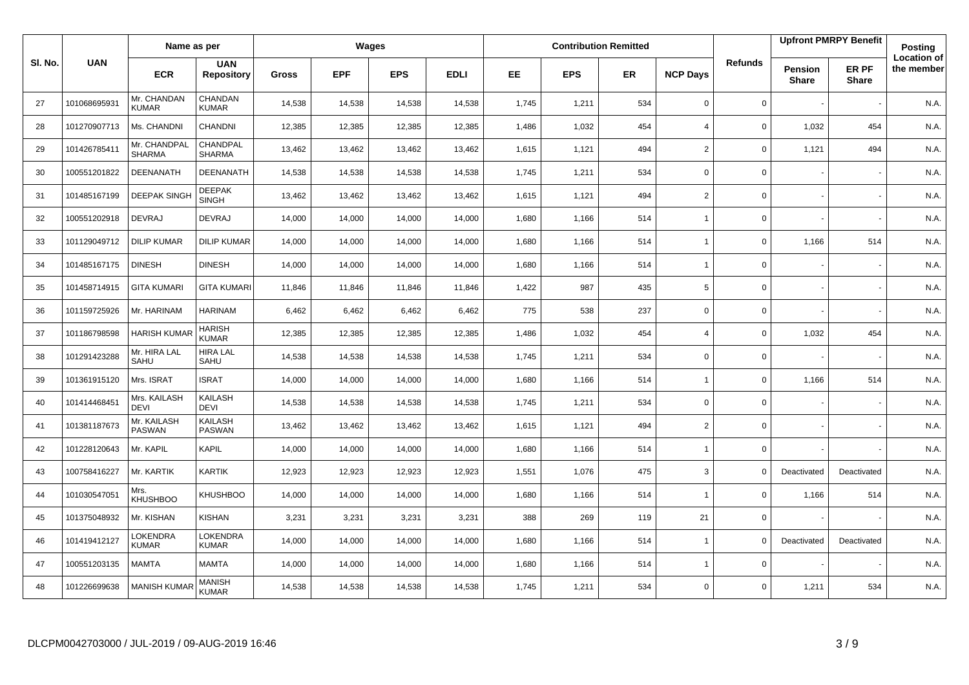|         |              | Name as per                   |                                 |              |            | Wages      |             |           |            | <b>Contribution Remitted</b> |                          |                |                         | <b>Upfront PMRPY Benefit</b> | Posting                          |
|---------|--------------|-------------------------------|---------------------------------|--------------|------------|------------|-------------|-----------|------------|------------------------------|--------------------------|----------------|-------------------------|------------------------------|----------------------------------|
| SI. No. | <b>UAN</b>   | <b>ECR</b>                    | <b>UAN</b><br><b>Repository</b> | <b>Gross</b> | <b>EPF</b> | <b>EPS</b> | <b>EDLI</b> | <b>EE</b> | <b>EPS</b> | <b>ER</b>                    | <b>NCP Days</b>          | <b>Refunds</b> | Pension<br><b>Share</b> | ER PF<br><b>Share</b>        | <b>Location of</b><br>the member |
| 27      | 101068695931 | Mr. CHANDAN<br><b>KUMAR</b>   | CHANDAN<br>KUMAR                | 14,538       | 14,538     | 14,538     | 14,538      | 1,745     | 1,211      | 534                          | $\mathbf 0$              | 0              |                         |                              | N.A.                             |
| 28      | 101270907713 | Ms. CHANDNI                   | <b>CHANDNI</b>                  | 12,385       | 12,385     | 12,385     | 12,385      | 1,486     | 1,032      | 454                          | $\overline{4}$           | 0              | 1,032                   | 454                          | N.A.                             |
| 29      | 101426785411 | Mr. CHANDPAL<br><b>SHARMA</b> | CHANDPAL<br><b>SHARMA</b>       | 13,462       | 13,462     | 13,462     | 13,462      | 1,615     | 1,121      | 494                          | $\overline{2}$           | 0              | 1,121                   | 494                          | N.A.                             |
| 30      | 100551201822 | DEENANATH                     | DEENANATH                       | 14,538       | 14,538     | 14,538     | 14,538      | 1,745     | 1,211      | 534                          | $\mathbf 0$              | 0              |                         |                              | N.A.                             |
| 31      | 101485167199 | <b>DEEPAK SINGH</b>           | <b>DEEPAK</b><br><b>SINGH</b>   | 13,462       | 13,462     | 13,462     | 13,462      | 1,615     | 1,121      | 494                          | $\overline{2}$           | 0              |                         |                              | N.A.                             |
| 32      | 100551202918 | <b>DEVRAJ</b>                 | <b>DEVRAJ</b>                   | 14,000       | 14,000     | 14,000     | 14,000      | 1,680     | 1,166      | 514                          | $\overline{\phantom{a}}$ | 0              |                         |                              | N.A.                             |
| 33      | 101129049712 | <b>DILIP KUMAR</b>            | <b>DILIP KUMAR</b>              | 14,000       | 14,000     | 14,000     | 14,000      | 1,680     | 1,166      | 514                          | $\overline{1}$           | 0              | 1,166                   | 514                          | N.A.                             |
| 34      | 101485167175 | <b>DINESH</b>                 | <b>DINESH</b>                   | 14,000       | 14,000     | 14,000     | 14,000      | 1,680     | 1,166      | 514                          | $\overline{1}$           | $\mathbf 0$    |                         |                              | N.A.                             |
| 35      | 101458714915 | <b>GITA KUMARI</b>            | <b>GITA KUMARI</b>              | 11,846       | 11,846     | 11,846     | 11,846      | 1,422     | 987        | 435                          | 5                        | 0              |                         |                              | N.A.                             |
| 36      | 101159725926 | Mr. HARINAM                   | <b>HARINAM</b>                  | 6,462        | 6,462      | 6,462      | 6,462       | 775       | 538        | 237                          | $\mathbf 0$              | 0              |                         |                              | N.A.                             |
| 37      | 101186798598 | <b>HARISH KUMA</b>            | <b>HARISH</b><br><b>KUMAR</b>   | 12,385       | 12,385     | 12,385     | 12,385      | 1,486     | 1,032      | 454                          | $\overline{4}$           | 0              | 1,032                   | 454                          | N.A.                             |
| 38      | 101291423288 | Mr. HIRA LAL<br>SAHU          | <b>HIRA LAL</b><br>SAHU         | 14,538       | 14,538     | 14,538     | 14,538      | 1,745     | 1,211      | 534                          | $\mathbf 0$              | 0              |                         |                              | N.A.                             |
| 39      | 101361915120 | Mrs. ISRAT                    | <b>ISRAT</b>                    | 14,000       | 14,000     | 14,000     | 14,000      | 1,680     | 1,166      | 514                          | $\overline{1}$           | 0              | 1,166                   | 514                          | N.A.                             |
| 40      | 101414468451 | Mrs. KAILASH<br><b>DEVI</b>   | <b>KAILASH</b><br><b>DEVI</b>   | 14,538       | 14,538     | 14,538     | 14,538      | 1,745     | 1,211      | 534                          | $\mathbf 0$              | $\mathbf 0$    |                         |                              | N.A.                             |
| 41      | 101381187673 | Mr. KAILASH<br>PASWAN         | <b>KAILASH</b><br><b>PASWAN</b> | 13,462       | 13,462     | 13,462     | 13,462      | 1,615     | 1,121      | 494                          | $\mathbf 2$              | $\mathbf 0$    |                         |                              | N.A.                             |
| 42      | 101228120643 | Mr. KAPIL                     | <b>KAPIL</b>                    | 14,000       | 14,000     | 14,000     | 14,000      | 1,680     | 1,166      | 514                          | $\overline{1}$           | 0              |                         |                              | N.A.                             |
| 43      | 100758416227 | Mr. KARTIK                    | KARTIK                          | 12,923       | 12,923     | 12,923     | 12,923      | 1,551     | 1,076      | 475                          | 3                        | $\mathbf 0$    | Deactivated             | Deactivated                  | N.A.                             |
| 44      | 101030547051 | Mrs.<br>KHUSHBOO              | KHUSHBOO                        | 14,000       | 14,000     | 14,000     | 14,000      | 1,680     | 1,166      | 514                          | $\overline{1}$           | 0              | 1,166                   | 514                          | N.A.                             |
| 45      | 101375048932 | Mr. KISHAN                    | KISHAN                          | 3,231        | 3,231      | 3,231      | 3,231       | 388       | 269        | 119                          | 21                       | 0              |                         |                              | N.A.                             |
| 46      | 101419412127 | LOKENDRA<br><b>KUMAR</b>      | LOKENDRA<br><b>KUMAR</b>        | 14,000       | 14,000     | 14,000     | 14,000      | 1,680     | 1,166      | 514                          | $\overline{1}$           | $\Omega$       | Deactivated             | Deactivated                  | N.A.                             |
| 47      | 100551203135 | MAMTA                         | MAMTA                           | 14,000       | 14,000     | 14,000     | 14,000      | 1,680     | 1,166      | 514                          | $\overline{\phantom{a}}$ | 0              |                         |                              | N.A.                             |
| 48      | 101226699638 | <b>MANISH KUMAR</b>           | <b>MANISH</b><br>KUMAR          | 14,538       | 14,538     | 14,538     | 14,538      | 1,745     | 1,211      | 534                          | $\mathbf 0$              | 0              | 1,211                   | 534                          | N.A.                             |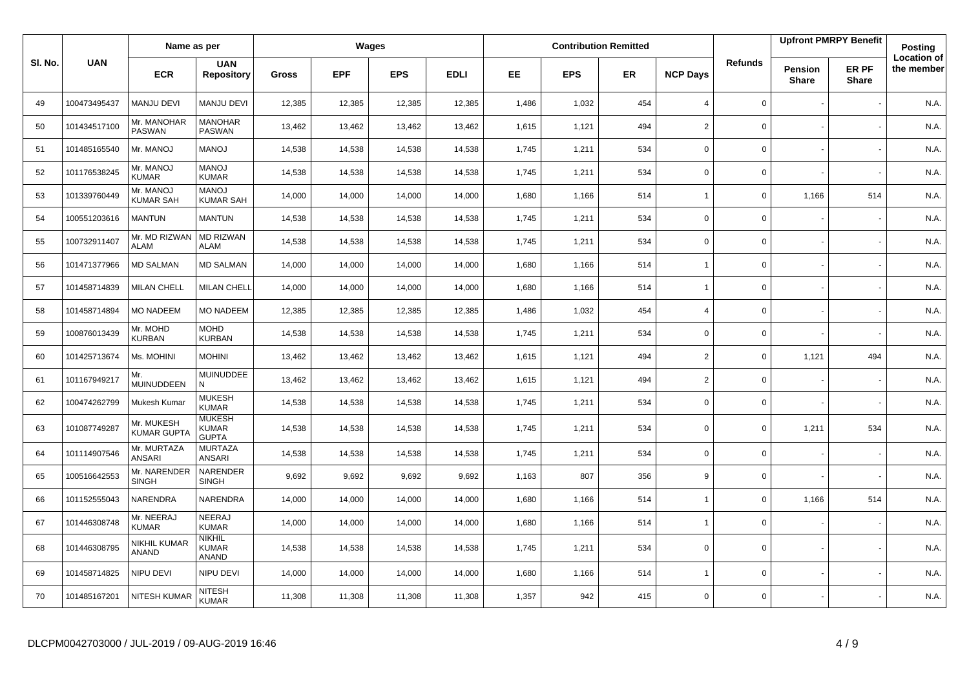|         |              | Name as per                      |                                               |        |            | Wages      |             |           |            | <b>Contribution Remitted</b> |                 |                |                                | <b>Upfront PMRPY Benefit</b> | <b>Posting</b>                   |
|---------|--------------|----------------------------------|-----------------------------------------------|--------|------------|------------|-------------|-----------|------------|------------------------------|-----------------|----------------|--------------------------------|------------------------------|----------------------------------|
| SI. No. | <b>UAN</b>   | <b>ECR</b>                       | <b>UAN</b><br><b>Repository</b>               | Gross  | <b>EPF</b> | <b>EPS</b> | <b>EDLI</b> | <b>EE</b> | <b>EPS</b> | <b>ER</b>                    | <b>NCP Days</b> | <b>Refunds</b> | <b>Pension</b><br><b>Share</b> | ER PF<br><b>Share</b>        | <b>Location of</b><br>the member |
| 49      | 100473495437 | <b>MANJU DEVI</b>                | MANJU DEVI                                    | 12,385 | 12,385     | 12,385     | 12,385      | 1,486     | 1,032      | 454                          | $\overline{4}$  | 0              |                                |                              | N.A.                             |
| 50      | 101434517100 | Mr. MANOHAR<br><b>PASWAN</b>     | <b>MANOHAR</b><br>PASWAN                      | 13,462 | 13,462     | 13,462     | 13,462      | 1,615     | 1,121      | 494                          | $\overline{2}$  | $\mathbf 0$    |                                |                              | N.A.                             |
| 51      | 101485165540 | Mr. MANOJ                        | <b>MANOJ</b>                                  | 14,538 | 14,538     | 14,538     | 14,538      | 1,745     | 1,211      | 534                          | $\mathbf 0$     | 0              |                                |                              | N.A.                             |
| 52      | 101176538245 | Mr. MANOJ<br><b>KUMAR</b>        | <b>MANOJ</b><br><b>KUMAR</b>                  | 14,538 | 14,538     | 14,538     | 14,538      | 1,745     | 1,211      | 534                          | $\Omega$        | 0              |                                |                              | N.A.                             |
| 53      | 101339760449 | Mr. MANOJ<br><b>KUMAR SAH</b>    | <b>MANOJ</b><br><b>KUMAR SAH</b>              | 14,000 | 14,000     | 14,000     | 14,000      | 1,680     | 1,166      | 514                          | $\overline{1}$  | 0              | 1,166                          | 514                          | N.A.                             |
| 54      | 100551203616 | <b>MANTUN</b>                    | <b>MANTUN</b>                                 | 14,538 | 14,538     | 14,538     | 14,538      | 1,745     | 1,211      | 534                          | $\Omega$        | 0              |                                |                              | N.A.                             |
| 55      | 100732911407 | Mr. MD RIZWAN<br><b>ALAM</b>     | <b>MD RIZWAN</b><br><b>ALAM</b>               | 14,538 | 14,538     | 14,538     | 14,538      | 1,745     | 1,211      | 534                          | $\mathbf 0$     | 0              |                                |                              | N.A.                             |
| 56      | 101471377966 | <b>MD SALMAN</b>                 | <b>MD SALMAN</b>                              | 14,000 | 14,000     | 14,000     | 14,000      | 1,680     | 1,166      | 514                          | $\overline{1}$  | $\mathbf 0$    |                                |                              | N.A.                             |
| 57      | 101458714839 | <b>MILAN CHELL</b>               | <b>MILAN CHELL</b>                            | 14,000 | 14,000     | 14,000     | 14,000      | 1,680     | 1,166      | 514                          | $\overline{1}$  | 0              |                                |                              | N.A.                             |
| 58      | 101458714894 | <b>MO NADEEM</b>                 | <b>MO NADEEM</b>                              | 12,385 | 12,385     | 12,385     | 12,385      | 1,486     | 1,032      | 454                          | $\overline{4}$  | 0              |                                |                              | N.A.                             |
| 59      | 100876013439 | Mr. MOHD<br><b>KURBAN</b>        | MOHD<br><b>KURBAN</b>                         | 14,538 | 14,538     | 14,538     | 14,538      | 1,745     | 1,211      | 534                          | $\mathbf 0$     | $\mathbf 0$    |                                |                              | N.A.                             |
| 60      | 101425713674 | Ms. MOHINI                       | <b>MOHINI</b>                                 | 13,462 | 13,462     | 13,462     | 13,462      | 1,615     | 1,121      | 494                          | $\overline{2}$  | 0              | 1,121                          | 494                          | N.A.                             |
| 61      | 101167949217 | Mr.<br>MUINUDDEEN                | <b>MUINUDDEE</b><br>N                         | 13,462 | 13,462     | 13,462     | 13,462      | 1,615     | 1,121      | 494                          | $\overline{2}$  | 0              |                                |                              | N.A.                             |
| 62      | 100474262799 | Mukesh Kumar                     | <b>MUKESH</b><br><b>KUMAR</b>                 | 14,538 | 14,538     | 14,538     | 14,538      | 1,745     | 1,211      | 534                          | $\mathbf 0$     | $\mathbf 0$    |                                |                              | N.A.                             |
| 63      | 101087749287 | Mr. MUKESH<br><b>KUMAR GUPTA</b> | <b>MUKESH</b><br><b>KUMAR</b><br><b>GUPTA</b> | 14,538 | 14,538     | 14,538     | 14,538      | 1,745     | 1,211      | 534                          | $\Omega$        | $\mathbf 0$    | 1,211                          | 534                          | N.A.                             |
| 64      | 101114907546 | Mr. MURTAZA<br><b>ANSARI</b>     | <b>MURTAZA</b><br><b>ANSARI</b>               | 14,538 | 14,538     | 14,538     | 14,538      | 1,745     | 1,211      | 534                          | $\mathbf 0$     | 0              |                                |                              | N.A.                             |
| 65      | 100516642553 | Mr. NARENDER<br><b>SINGH</b>     | NARENDER<br><b>SINGH</b>                      | 9,692  | 9,692      | 9,692      | 9,692       | 1,163     | 807        | 356                          | 9               | 0              |                                |                              | N.A.                             |
| 66      | 101152555043 | NARENDRA                         | NARENDRA                                      | 14,000 | 14,000     | 14,000     | 14,000      | 1,680     | 1,166      | 514                          | $\overline{1}$  | 0              | 1,166                          | 514                          | N.A.                             |
| 67      | 101446308748 | Mr. NEERAJ<br><b>KUMAR</b>       | <b>NEERAJ</b><br><b>KUMAR</b>                 | 14,000 | 14,000     | 14,000     | 14,000      | 1,680     | 1,166      | 514                          | $\overline{1}$  | $\mathbf 0$    |                                |                              | N.A.                             |
| 68      | 101446308795 | NIKHIL KUMAR<br>ANAND            | <b>NIKHIL</b><br><b>KUMAR</b><br><b>ANAND</b> | 14,538 | 14,538     | 14,538     | 14,538      | 1,745     | 1,211      | 534                          | $\mathbf 0$     | $\mathbf 0$    |                                |                              | N.A.                             |
| 69      | 101458714825 | NIPU DEVI                        | NIPU DEVI                                     | 14,000 | 14,000     | 14,000     | 14,000      | 1,680     | 1,166      | 514                          | $\overline{1}$  | 0              |                                |                              | N.A.                             |
| 70      | 101485167201 | NITESH KUMAR                     | <b>NITESH</b><br>KUMAR                        | 11,308 | 11,308     | 11,308     | 11,308      | 1,357     | 942        | 415                          | $\Omega$        | 0              |                                |                              | N.A.                             |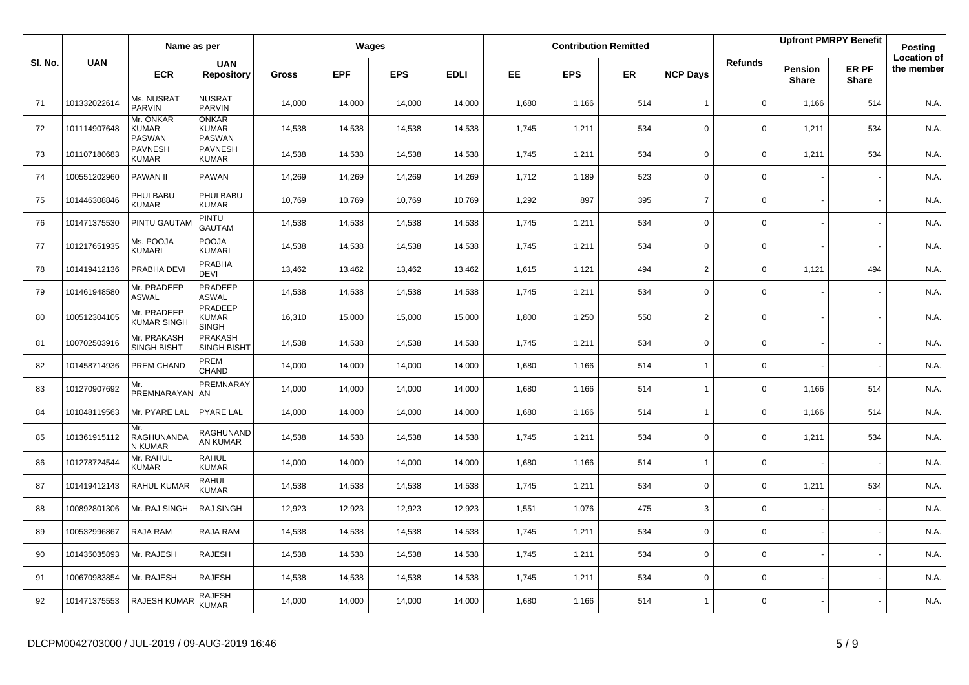|         |              | Name as per                                |                                                |        |            | Wages      |             |           |            | <b>Contribution Remitted</b> |                          |                |                         | <b>Upfront PMRPY Benefit</b> | Posting                          |
|---------|--------------|--------------------------------------------|------------------------------------------------|--------|------------|------------|-------------|-----------|------------|------------------------------|--------------------------|----------------|-------------------------|------------------------------|----------------------------------|
| SI. No. | <b>UAN</b>   | <b>ECR</b>                                 | <b>UAN</b><br><b>Repository</b>                | Gross  | <b>EPF</b> | <b>EPS</b> | <b>EDLI</b> | <b>EE</b> | <b>EPS</b> | <b>ER</b>                    | <b>NCP Days</b>          | <b>Refunds</b> | Pension<br><b>Share</b> | ER PF<br><b>Share</b>        | <b>Location of</b><br>the member |
| 71      | 101332022614 | Ms. NUSRAT<br><b>PARVIN</b>                | <b>NUSRAT</b><br><b>PARVIN</b>                 | 14,000 | 14,000     | 14,000     | 14,000      | 1,680     | 1,166      | 514                          | $\overline{1}$           | $\mathbf 0$    | 1,166                   | 514                          | N.A.                             |
| 72      | 101114907648 | Mr. ONKAR<br><b>KUMAR</b><br><b>PASWAN</b> | <b>ONKAR</b><br><b>KUMAR</b><br>PASWAN         | 14,538 | 14,538     | 14,538     | 14,538      | 1,745     | 1,211      | 534                          | $\Omega$                 | 0              | 1,211                   | 534                          | N.A.                             |
| 73      | 101107180683 | <b>PAVNESH</b><br><b>KUMAR</b>             | <b>PAVNESH</b><br><b>KUMAR</b>                 | 14,538 | 14,538     | 14,538     | 14,538      | 1,745     | 1,211      | 534                          | $\mathbf 0$              | 0              | 1,211                   | 534                          | N.A.                             |
| 74      | 100551202960 | PAWAN II                                   | PAWAN                                          | 14,269 | 14,269     | 14,269     | 14,269      | 1,712     | 1,189      | 523                          | $\Omega$                 | 0              |                         |                              | N.A.                             |
| 75      | 101446308846 | PHULBABU<br><b>KUMAR</b>                   | PHULBABU<br>KUMAR                              | 10,769 | 10,769     | 10.769     | 10,769      | 1,292     | 897        | 395                          | $\overline{7}$           | $\mathbf 0$    |                         |                              | N.A.                             |
| 76      | 101471375530 | PINTU GAUTAI                               | PINTU<br><b>GAUTAM</b>                         | 14,538 | 14,538     | 14,538     | 14,538      | 1,745     | 1,211      | 534                          | $\Omega$                 | 0              |                         |                              | N.A.                             |
| 77      | 101217651935 | Ms. POOJA<br>KUMARI                        | POOJA<br><b>KUMARI</b>                         | 14,538 | 14,538     | 14,538     | 14,538      | 1,745     | 1,211      | 534                          | $\mathbf 0$              | 0              |                         |                              | N.A.                             |
| 78      | 101419412136 | PRABHA DEVI                                | PRABHA<br><b>DEVI</b>                          | 13,462 | 13,462     | 13,462     | 13,462      | 1,615     | 1,121      | 494                          | $\overline{2}$           | 0              | 1,121                   | 494                          | N.A.                             |
| 79      | 101461948580 | Mr. PRADEEP<br><b>ASWAL</b>                | PRADEEP<br><b>ASWAL</b>                        | 14,538 | 14,538     | 14,538     | 14,538      | 1,745     | 1,211      | 534                          | $\mathbf 0$              | 0              |                         |                              | N.A.                             |
| 80      | 100512304105 | Mr. PRADEEP<br><b>KUMAR SINGH</b>          | <b>PRADEEP</b><br><b>KUMAR</b><br><b>SINGH</b> | 16,310 | 15,000     | 15,000     | 15,000      | 1,800     | 1,250      | 550                          | 2                        | 0              |                         |                              | N.A.                             |
| 81      | 100702503916 | Mr. PRAKASH<br><b>SINGH BISHT</b>          | <b>PRAKASH</b><br><b>SINGH BISHT</b>           | 14,538 | 14,538     | 14,538     | 14,538      | 1,745     | 1,211      | 534                          | $\mathbf 0$              | 0              |                         |                              | N.A.                             |
| 82      | 101458714936 | PREM CHAND                                 | PREM<br><b>CHAND</b>                           | 14,000 | 14,000     | 14,000     | 14,000      | 1,680     | 1,166      | 514                          | $\overline{\phantom{a}}$ | 0              |                         |                              | N.A.                             |
| 83      | 101270907692 | Mr.<br><b>PREMNARAYAN</b>                  | PREMNARAY<br>AN                                | 14,000 | 14,000     | 14,000     | 14,000      | 1,680     | 1,166      | 514                          | $\overline{1}$           | 0              | 1,166                   | 514                          | N.A.                             |
| 84      | 101048119563 | Mr. PYARE LAL                              | <b>PYARE LAL</b>                               | 14,000 | 14,000     | 14,000     | 14,000      | 1,680     | 1,166      | 514                          | $\overline{1}$           | $\mathbf 0$    | 1,166                   | 514                          | N.A.                             |
| 85      | 101361915112 | Mr.<br>RAGHUNANDA<br>N KUMAR               | RAGHUNAND<br>AN KUMAR                          | 14,538 | 14,538     | 14,538     | 14,538      | 1,745     | 1,211      | 534                          | $\Omega$                 | 0              | 1,211                   | 534                          | N.A.                             |
| 86      | 101278724544 | Mr. RAHUL<br><b>KUMAR</b>                  | <b>RAHUL</b><br><b>KUMAR</b>                   | 14,000 | 14,000     | 14,000     | 14,000      | 1,680     | 1,166      | 514                          | $\overline{1}$           | 0              |                         |                              | N.A.                             |
| 87      | 101419412143 | RAHUL KUMAR                                | RAHUL<br><b>KUMAR</b>                          | 14,538 | 14,538     | 14,538     | 14,538      | 1,745     | 1,211      | 534                          | 0                        | 0              | 1,211                   | 534                          | N.A.                             |
| 88      | 100892801306 | Mr. RAJ SINGH                              | RAJ SINGH                                      | 12,923 | 12,923     | 12,923     | 12,923      | 1,551     | 1,076      | 475                          | 3                        | 0              |                         |                              | N.A.                             |
| 89      | 100532996867 | RAJA RAM                                   | RAJA RAM                                       | 14,538 | 14,538     | 14,538     | 14,538      | 1,745     | 1,211      | 534                          | 0                        | 0              |                         |                              | N.A.                             |
| 90      | 101435035893 | Mr. RAJESH                                 | RAJESH                                         | 14,538 | 14,538     | 14,538     | 14,538      | 1,745     | 1,211      | 534                          | $\mathbf 0$              | 0              |                         |                              | N.A.                             |
| 91      | 100670983854 | Mr. RAJESH                                 | RAJESH                                         | 14,538 | 14,538     | 14,538     | 14,538      | 1,745     | 1,211      | 534                          | $\mathbf 0$              | 0              |                         |                              | N.A.                             |
| 92      | 101471375553 | RAJESH KUMAF                               | <b>RAJESH</b><br><b>KUMAR</b>                  | 14,000 | 14,000     | 14,000     | 14,000      | 1,680     | 1,166      | 514                          | $\overline{1}$           | $\mathbf 0$    |                         |                              | N.A.                             |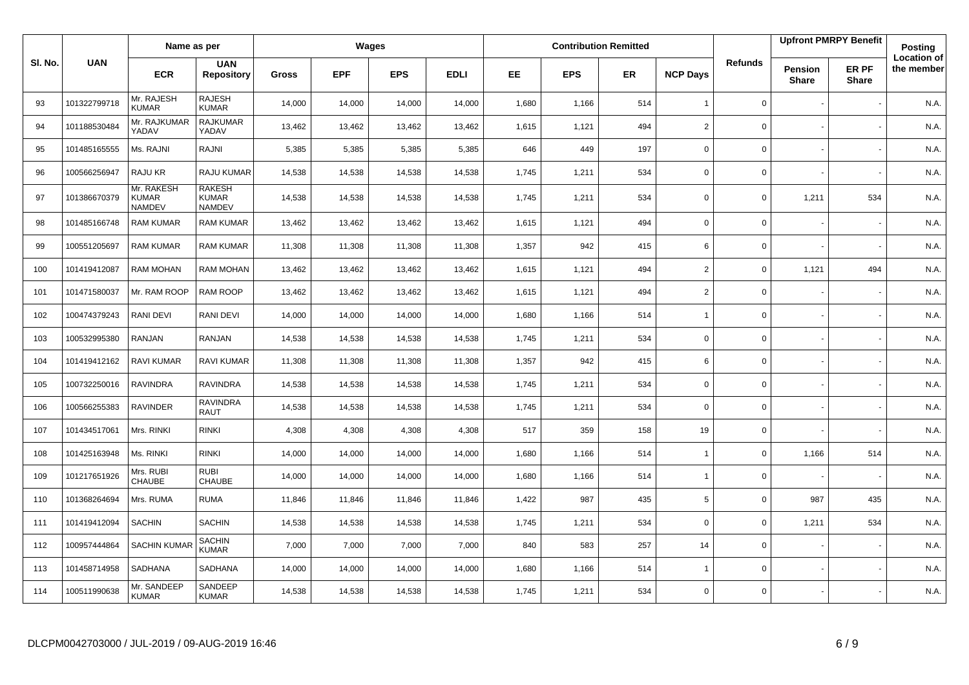|         |              | Name as per                                 |                                                |              |            | Wages      |             |           |            | <b>Contribution Remitted</b> |                 |                |                         | <b>Upfront PMRPY Benefit</b> | <b>Posting</b>                   |
|---------|--------------|---------------------------------------------|------------------------------------------------|--------------|------------|------------|-------------|-----------|------------|------------------------------|-----------------|----------------|-------------------------|------------------------------|----------------------------------|
| SI. No. | <b>UAN</b>   | <b>ECR</b>                                  | <b>UAN</b><br><b>Repository</b>                | <b>Gross</b> | <b>EPF</b> | <b>EPS</b> | <b>EDLI</b> | <b>EE</b> | <b>EPS</b> | <b>ER</b>                    | <b>NCP Days</b> | <b>Refunds</b> | Pension<br><b>Share</b> | ER PF<br><b>Share</b>        | <b>Location of</b><br>the member |
| 93      | 101322799718 | Mr. RAJESH<br><b>KUMAR</b>                  | <b>RAJESH</b><br><b>KUMAR</b>                  | 14,000       | 14,000     | 14,000     | 14,000      | 1,680     | 1,166      | 514                          | $\overline{1}$  | 0              |                         |                              | N.A.                             |
| 94      | 101188530484 | Mr. RAJKUMAR<br>YADAV                       | <b>RAJKUMAR</b><br>YADAV                       | 13,462       | 13,462     | 13,462     | 13,462      | 1,615     | 1,121      | 494                          | 2               | 0              |                         |                              | N.A.                             |
| 95      | 101485165555 | Ms. RAJNI                                   | RAJNI                                          | 5,385        | 5,385      | 5,385      | 5,385       | 646       | 449        | 197                          | $\mathbf 0$     | 0              |                         |                              | N.A.                             |
| 96      | 100566256947 | RAJU KR                                     | RAJU KUMAR                                     | 14,538       | 14,538     | 14,538     | 14,538      | 1,745     | 1,211      | 534                          | $\mathbf 0$     | 0              |                         |                              | N.A.                             |
| 97      | 101386670379 | Mr. RAKESH<br><b>KUMAR</b><br><b>NAMDEV</b> | <b>RAKESH</b><br><b>KUMAR</b><br><b>NAMDEV</b> | 14,538       | 14,538     | 14,538     | 14,538      | 1,745     | 1,211      | 534                          | $\mathbf 0$     | 0              | 1,211                   | 534                          | N.A.                             |
| 98      | 101485166748 | <b>RAM KUMAR</b>                            | <b>RAM KUMAR</b>                               | 13,462       | 13,462     | 13,462     | 13,462      | 1,615     | 1,121      | 494                          | $\mathbf 0$     | 0              |                         |                              | N.A.                             |
| 99      | 100551205697 | <b>RAM KUMAR</b>                            | <b>RAM KUMAR</b>                               | 11,308       | 11,308     | 11,308     | 11,308      | 1,357     | 942        | 415                          | 6               | 0              |                         |                              | N.A.                             |
| 100     | 101419412087 | <b>RAM MOHAN</b>                            | <b>RAM MOHAN</b>                               | 13,462       | 13,462     | 13,462     | 13,462      | 1,615     | 1,121      | 494                          | $\overline{2}$  | 0              | 1,121                   | 494                          | N.A.                             |
| 101     | 101471580037 | Mr. RAM ROOP                                | RAM ROOP                                       | 13,462       | 13,462     | 13,462     | 13,462      | 1,615     | 1,121      | 494                          | $\mathbf 2$     | $\mathbf{0}$   |                         |                              | N.A.                             |
| 102     | 100474379243 | RANI DEVI                                   | RANI DEVI                                      | 14,000       | 14,000     | 14,000     | 14,000      | 1,680     | 1,166      | 514                          | $\mathbf{1}$    | 0              |                         |                              | N.A.                             |
| 103     | 100532995380 | <b>RANJAN</b>                               | RANJAN                                         | 14,538       | 14,538     | 14,538     | 14,538      | 1,745     | 1,211      | 534                          | $\mathsf 0$     | $\mathbf{0}$   |                         |                              | N.A.                             |
| 104     | 101419412162 | <b>RAVI KUMAR</b>                           | <b>RAVI KUMAR</b>                              | 11,308       | 11,308     | 11,308     | 11,308      | 1,357     | 942        | 415                          | 6               | $\mathbf 0$    |                         |                              | N.A.                             |
| 105     | 100732250016 | <b>RAVINDRA</b>                             | <b>RAVINDRA</b>                                | 14,538       | 14,538     | 14,538     | 14,538      | 1,745     | 1,211      | 534                          | $\mathbf 0$     | 0              |                         |                              | N.A.                             |
| 106     | 100566255383 | <b>RAVINDER</b>                             | <b>RAVINDRA</b><br><b>RAUT</b>                 | 14,538       | 14,538     | 14,538     | 14,538      | 1,745     | 1,211      | 534                          | $\mathbf 0$     | 0              |                         |                              | N.A.                             |
| 107     | 101434517061 | Mrs. RINKI                                  | <b>RINKI</b>                                   | 4,308        | 4,308      | 4,308      | 4,308       | 517       | 359        | 158                          | 19              | 0              |                         |                              | N.A.                             |
| 108     | 101425163948 | Ms. RINKI                                   | <b>RINKI</b>                                   | 14,000       | 14,000     | 14,000     | 14,000      | 1,680     | 1,166      | 514                          | $\overline{1}$  | 0              | 1,166                   | 514                          | N.A.                             |
| 109     | 101217651926 | Mrs. RUBI<br>CHAUBE                         | <b>RUBI</b><br>CHAUBE                          | 14,000       | 14,000     | 14,000     | 14,000      | 1,680     | 1,166      | 514                          | $\overline{1}$  | 0              |                         |                              | N.A.                             |
| 110     | 101368264694 | Mrs. RUMA                                   | <b>RUMA</b>                                    | 11,846       | 11,846     | 11,846     | 11,846      | 1,422     | 987        | 435                          | 5               | 0              | 987                     | 435                          | N.A.                             |
| 111     | 101419412094 | <b>SACHIN</b>                               | <b>SACHIN</b>                                  | 14,538       | 14,538     | 14,538     | 14,538      | 1,745     | 1,211      | 534                          | $\mathbf 0$     | 0              | 1,211                   | 534                          | N.A.                             |
| 112     | 100957444864 | <b>SACHIN KUMAR</b>                         | <b>SACHIN</b><br><b>KUMAR</b>                  | 7,000        | 7,000      | 7,000      | 7,000       | 840       | 583        | 257                          | 14              | 0              |                         |                              | N.A.                             |
| 113     | 101458714958 | SADHANA                                     | SADHANA                                        | 14,000       | 14,000     | 14,000     | 14,000      | 1,680     | 1,166      | 514                          | $\overline{1}$  | 0              |                         |                              | N.A.                             |
| 114     | 100511990638 | Mr. SANDEEP<br><b>KUMAR</b>                 | SANDEEP<br><b>KUMAR</b>                        | 14,538       | 14,538     | 14,538     | 14,538      | 1,745     | 1,211      | 534                          | $\mathbf 0$     | 0              |                         |                              | N.A.                             |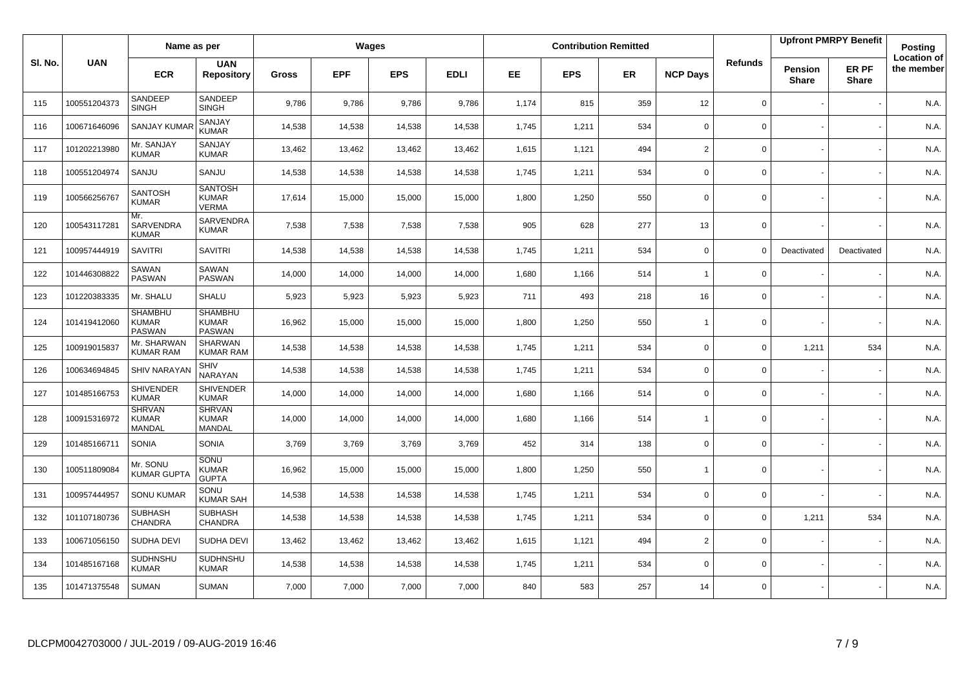|        |              | Name as per                                     |                                                |              |            | Wages      |             |           |            | <b>Contribution Remitted</b> |                 |                |                         | <b>Upfront PMRPY Benefit</b> | Posting                          |
|--------|--------------|-------------------------------------------------|------------------------------------------------|--------------|------------|------------|-------------|-----------|------------|------------------------------|-----------------|----------------|-------------------------|------------------------------|----------------------------------|
| SI. No | <b>UAN</b>   | <b>ECR</b>                                      | <b>UAN</b><br><b>Repository</b>                | <b>Gross</b> | <b>EPF</b> | <b>EPS</b> | <b>EDLI</b> | <b>EE</b> | <b>EPS</b> | <b>ER</b>                    | <b>NCP Days</b> | <b>Refunds</b> | Pension<br><b>Share</b> | ER PF<br><b>Share</b>        | <b>Location of</b><br>the member |
| 115    | 100551204373 | SANDEEP<br><b>SINGH</b>                         | SANDEEP<br><b>SINGH</b>                        | 9,786        | 9,786      | 9,786      | 9,786       | 1,174     | 815        | 359                          | 12              | 0              |                         |                              | N.A.                             |
| 116    | 100671646096 | <b>SANJAY KUMA</b>                              | SANJAY<br><b>KUMAR</b>                         | 14,538       | 14,538     | 14,538     | 14,538      | 1,745     | 1,211      | 534                          | $\mathbf 0$     | $\Omega$       |                         |                              | N.A.                             |
| 117    | 101202213980 | Mr. SANJAY<br><b>KUMAR</b>                      | SANJAY<br><b>KUMAR</b>                         | 13,462       | 13,462     | 13,462     | 13,462      | 1,615     | 1,121      | 494                          | $\overline{2}$  | 0              |                         |                              | N.A.                             |
| 118    | 100551204974 | SANJU                                           | SANJU                                          | 14,538       | 14,538     | 14,538     | 14,538      | 1,745     | 1,211      | 534                          | $\mathbf 0$     | 0              |                         |                              | N.A.                             |
| 119    | 100566256767 | <b>SANTOSH</b><br><b>KUMAR</b>                  | <b>SANTOSH</b><br><b>KUMAR</b><br>VERMA        | 17,614       | 15,000     | 15,000     | 15,000      | 1,800     | 1,250      | 550                          | $\mathbf 0$     | 0              |                         |                              | N.A.                             |
| 120    | 100543117281 | Mr.<br><b>SARVENDRA</b><br><b>KUMAR</b>         | SARVENDRA<br><b>KUMAR</b>                      | 7,538        | 7,538      | 7,538      | 7,538       | 905       | 628        | 277                          | 13              | 0              |                         |                              | N.A.                             |
| 121    | 100957444919 | <b>SAVITRI</b>                                  | <b>SAVITRI</b>                                 | 14,538       | 14,538     | 14,538     | 14,538      | 1,745     | 1,211      | 534                          | $\mathbf 0$     | $\Omega$       | Deactivated             | Deactivated                  | N.A.                             |
| 122    | 101446308822 | SAWAN<br><b>PASWAN</b>                          | SAWAN<br><b>PASWAN</b>                         | 14,000       | 14,000     | 14,000     | 14,000      | 1,680     | 1,166      | 514                          | $\overline{1}$  | $\mathbf 0$    |                         |                              | N.A.                             |
| 123    | 101220383335 | Mr. SHALU                                       | SHALU                                          | 5,923        | 5,923      | 5,923      | 5,923       | 711       | 493        | 218                          | 16              | $\mathbf 0$    |                         |                              | N.A.                             |
| 124    | 101419412060 | <b>SHAMBHU</b><br><b>KUMAR</b><br><b>PASWAN</b> | <b>SHAMBHU</b><br><b>KUMAR</b><br>PASWAN       | 16,962       | 15,000     | 15,000     | 15,000      | 1,800     | 1,250      | 550                          | $\overline{1}$  | $\mathbf 0$    |                         |                              | N.A.                             |
| 125    | 100919015837 | Mr. SHARWAN<br><b>KUMAR RAM</b>                 | <b>SHARWAN</b><br><b>KUMAR RAM</b>             | 14,538       | 14,538     | 14,538     | 14,538      | 1,745     | 1,211      | 534                          | $\mathbf 0$     | 0              | 1,211                   | 534                          | N.A.                             |
| 126    | 100634694845 | <b>SHIV NARAYAN</b>                             | SHIV<br>NARAYAN                                | 14,538       | 14,538     | 14,538     | 14,538      | 1,745     | 1,211      | 534                          | $\mathbf 0$     | 0              |                         |                              | N.A.                             |
| 127    | 101485166753 | <b>SHIVENDER</b><br><b>KUMAR</b>                | SHIVENDER<br><b>KUMAR</b>                      | 14,000       | 14,000     | 14,000     | 14,000      | 1,680     | 1,166      | 514                          | $\mathbf 0$     | $\mathbf 0$    |                         |                              | N.A.                             |
| 128    | 100915316972 | <b>SHRVAN</b><br><b>KUMAR</b><br>MANDAL         | <b>SHRVAN</b><br><b>KUMAR</b><br><b>MANDAL</b> | 14,000       | 14,000     | 14,000     | 14,000      | 1,680     | 1,166      | 514                          | $\overline{1}$  | $\mathbf 0$    |                         |                              | N.A.                             |
| 129    | 101485166711 | <b>SONIA</b>                                    | <b>SONIA</b>                                   | 3,769        | 3,769      | 3,769      | 3,769       | 452       | 314        | 138                          | $\Omega$        | $\Omega$       |                         |                              | N.A.                             |
| 130    | 100511809084 | Mr. SONU<br><b>KUMAR GUPTA</b>                  | <b>SONU</b><br><b>KUMAR</b><br><b>GUPTA</b>    | 16,962       | 15,000     | 15,000     | 15,000      | 1,800     | 1,250      | 550                          | $\overline{1}$  | 0              |                         |                              | N.A.                             |
| 131    | 100957444957 | <b>SONU KUMAR</b>                               | SONU<br><b>KUMAR SAH</b>                       | 14,538       | 14,538     | 14,538     | 14,538      | 1,745     | 1,211      | 534                          | $\mathbf 0$     | $\mathbf 0$    |                         |                              | N.A.                             |
| 132    | 101107180736 | <b>SUBHASH</b><br>CHANDRA                       | <b>SUBHASH</b><br><b>CHANDRA</b>               | 14,538       | 14,538     | 14,538     | 14,538      | 1,745     | 1,211      | 534                          | $\Omega$        | 0              | 1,211                   | 534                          | N.A.                             |
| 133    | 100671056150 | SUDHA DEVI                                      | SUDHA DEVI                                     | 13,462       | 13,462     | 13,462     | 13,462      | 1,615     | 1,121      | 494                          | 2               | 0              |                         |                              | N.A.                             |
| 134    | 101485167168 | SUDHNSHU<br><b>KUMAR</b>                        | SUDHNSHU<br><b>KUMAR</b>                       | 14,538       | 14,538     | 14,538     | 14,538      | 1,745     | 1,211      | 534                          | $\mathbf 0$     | $\mathbf 0$    |                         |                              | N.A.                             |
| 135    | 101471375548 | <b>SUMAN</b>                                    | <b>SUMAN</b>                                   | 7,000        | 7,000      | 7,000      | 7,000       | 840       | 583        | 257                          | 14              | 0              |                         |                              | N.A.                             |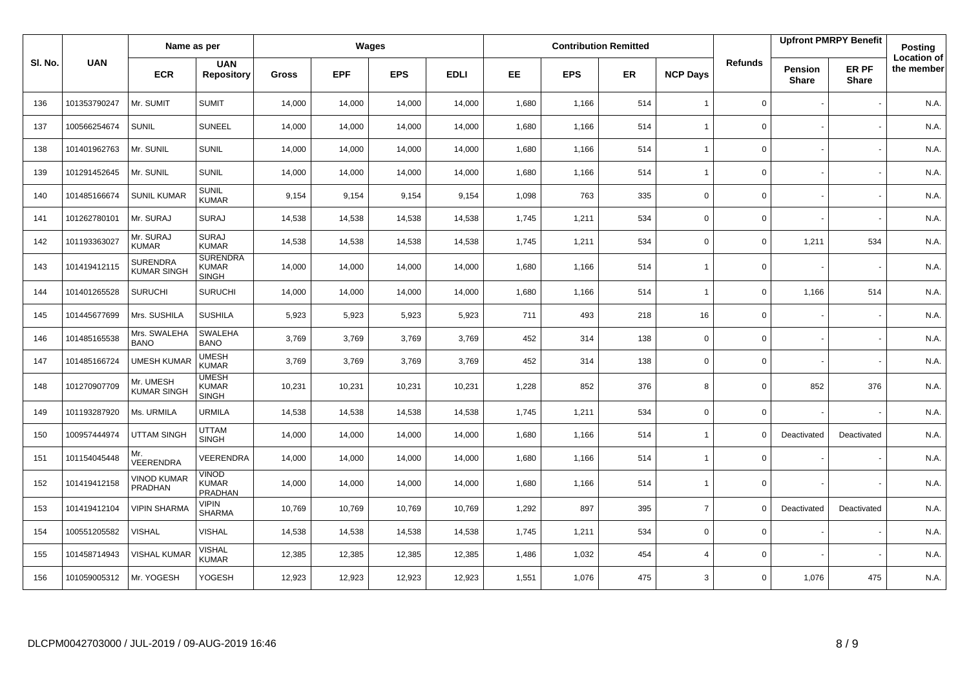|         |              | Name as per                           |                                                 |              |            | Wages      |             |       |            | <b>Contribution Remitted</b> |                 |                |                         | <b>Upfront PMRPY Benefit</b> | <b>Posting</b>                   |
|---------|--------------|---------------------------------------|-------------------------------------------------|--------------|------------|------------|-------------|-------|------------|------------------------------|-----------------|----------------|-------------------------|------------------------------|----------------------------------|
| SI. No. | <b>UAN</b>   | <b>ECR</b>                            | <b>UAN</b><br><b>Repository</b>                 | <b>Gross</b> | <b>EPF</b> | <b>EPS</b> | <b>EDLI</b> | EE    | <b>EPS</b> | <b>ER</b>                    | <b>NCP Days</b> | <b>Refunds</b> | Pension<br><b>Share</b> | ER PF<br><b>Share</b>        | <b>Location of</b><br>the member |
| 136     | 101353790247 | Mr. SUMIT                             | <b>SUMIT</b>                                    | 14,000       | 14,000     | 14,000     | 14,000      | 1,680 | 1,166      | 514                          | $\overline{1}$  | 0              |                         |                              | N.A.                             |
| 137     | 100566254674 | <b>SUNIL</b>                          | <b>SUNEEL</b>                                   | 14,000       | 14,000     | 14,000     | 14,000      | 1,680 | 1,166      | 514                          | $\overline{1}$  | 0              |                         |                              | N.A.                             |
| 138     | 101401962763 | Mr. SUNIL                             | <b>SUNIL</b>                                    | 14,000       | 14,000     | 14,000     | 14,000      | 1,680 | 1,166      | 514                          | $\overline{1}$  | 0              |                         |                              | N.A.                             |
| 139     | 101291452645 | Mr. SUNIL                             | <b>SUNIL</b>                                    | 14,000       | 14,000     | 14,000     | 14,000      | 1,680 | 1,166      | 514                          | $\overline{1}$  | 0              |                         |                              | N.A.                             |
| 140     | 101485166674 | <b>SUNIL KUMAR</b>                    | <b>SUNIL</b><br><b>KUMAR</b>                    | 9,154        | 9,154      | 9.154      | 9,154       | 1,098 | 763        | 335                          | $\mathbf 0$     | 0              |                         |                              | N.A.                             |
| 141     | 101262780101 | Mr. SURAJ                             | <b>SURAJ</b>                                    | 14,538       | 14,538     | 14,538     | 14,538      | 1,745 | 1,211      | 534                          | $\mathbf 0$     | $\mathbf 0$    |                         |                              | N.A.                             |
| 142     | 101193363027 | Mr. SURAJ<br><b>KUMAR</b>             | <b>SURAJ</b><br><b>KUMAR</b>                    | 14,538       | 14,538     | 14,538     | 14,538      | 1,745 | 1,211      | 534                          | $\mathbf 0$     | 0              | 1,211                   | 534                          | N.A.                             |
| 143     | 101419412115 | <b>SURENDRA</b><br><b>KUMAR SINGH</b> | <b>SURENDRA</b><br><b>KUMAR</b><br><b>SINGH</b> | 14,000       | 14,000     | 14,000     | 14,000      | 1,680 | 1,166      | 514                          | $\overline{1}$  | 0              |                         |                              | N.A.                             |
| 144     | 101401265528 | <b>SURUCHI</b>                        | <b>SURUCHI</b>                                  | 14,000       | 14,000     | 14,000     | 14,000      | 1,680 | 1,166      | 514                          | $\overline{1}$  | 0              | 1,166                   | 514                          | N.A.                             |
| 145     | 101445677699 | Mrs. SUSHILA                          | <b>SUSHILA</b>                                  | 5,923        | 5,923      | 5,923      | 5,923       | 711   | 493        | 218                          | 16              | 0              |                         |                              | N.A.                             |
| 146     | 101485165538 | Mrs. SWALEHA<br><b>BANO</b>           | SWALEHA<br><b>BANO</b>                          | 3,769        | 3,769      | 3,769      | 3,769       | 452   | 314        | 138                          | $\mathbf 0$     | 0              |                         |                              | N.A.                             |
| 147     | 101485166724 | <b>UMESH KUMAR</b>                    | <b>UMESH</b><br><b>KUMAR</b>                    | 3,769        | 3,769      | 3,769      | 3,769       | 452   | 314        | 138                          | $\mathbf 0$     | 0              |                         |                              | N.A.                             |
| 148     | 101270907709 | Mr. UMESH<br><b>KUMAR SINGH</b>       | <b>UMESH</b><br><b>KUMAR</b><br><b>SINGH</b>    | 10,231       | 10,231     | 10,231     | 10,231      | 1,228 | 852        | 376                          | 8               | 0              | 852                     | 376                          | N.A.                             |
| 149     | 101193287920 | Ms. URMILA                            | <b>URMILA</b>                                   | 14,538       | 14,538     | 14,538     | 14,538      | 1,745 | 1,211      | 534                          | $\mathbf 0$     | 0              |                         |                              | N.A.                             |
| 150     | 100957444974 | <b>UTTAM SINGH</b>                    | <b>UTTAM</b><br><b>SINGH</b>                    | 14,000       | 14,000     | 14,000     | 14,000      | 1,680 | 1,166      | 514                          | $\overline{1}$  | $\mathbf 0$    | Deactivated             | Deactivated                  | N.A.                             |
| 151     | 101154045448 | Mr.<br>VEERENDRA                      | VEERENDRA                                       | 14,000       | 14,000     | 14,000     | 14,000      | 1,680 | 1,166      | 514                          | $\overline{1}$  | $\mathbf 0$    |                         |                              | N.A.                             |
| 152     | 101419412158 | <b>VINOD KUMAR</b><br>PRADHAN         | Vinod<br>KUMAR<br>PRADHAN                       | 14,000       | 14,000     | 14,000     | 14,000      | 1,680 | 1,166      | 514                          | $\overline{1}$  | $\mathbf 0$    |                         |                              | N.A.                             |
| 153     | 101419412104 | <b>VIPIN SHARMA</b>                   | <b>VIPIN</b><br><b>SHARMA</b>                   | 10,769       | 10,769     | 10,769     | 10,769      | 1,292 | 897        | 395                          | $\overline{7}$  | $\Omega$       | Deactivated             | Deactivated                  | N.A.                             |
| 154     | 100551205582 | VISHAL                                | <b>VISHAL</b>                                   | 14,538       | 14,538     | 14,538     | 14,538      | 1,745 | 1,211      | 534                          | $\mathbf 0$     | 0              |                         |                              | N.A.                             |
| 155     | 101458714943 | <b>VISHAL KUMAR</b>                   | VISHAL<br><b>KUMAR</b>                          | 12,385       | 12,385     | 12,385     | 12,385      | 1,486 | 1,032      | 454                          | $\overline{4}$  | 0              |                         |                              | N.A.                             |
| 156     | 101059005312 | Mr. YOGESH                            | YOGESH                                          | 12,923       | 12,923     | 12,923     | 12,923      | 1,551 | 1,076      | 475                          | 3               | $\mathbf 0$    | 1,076                   | 475                          | N.A.                             |